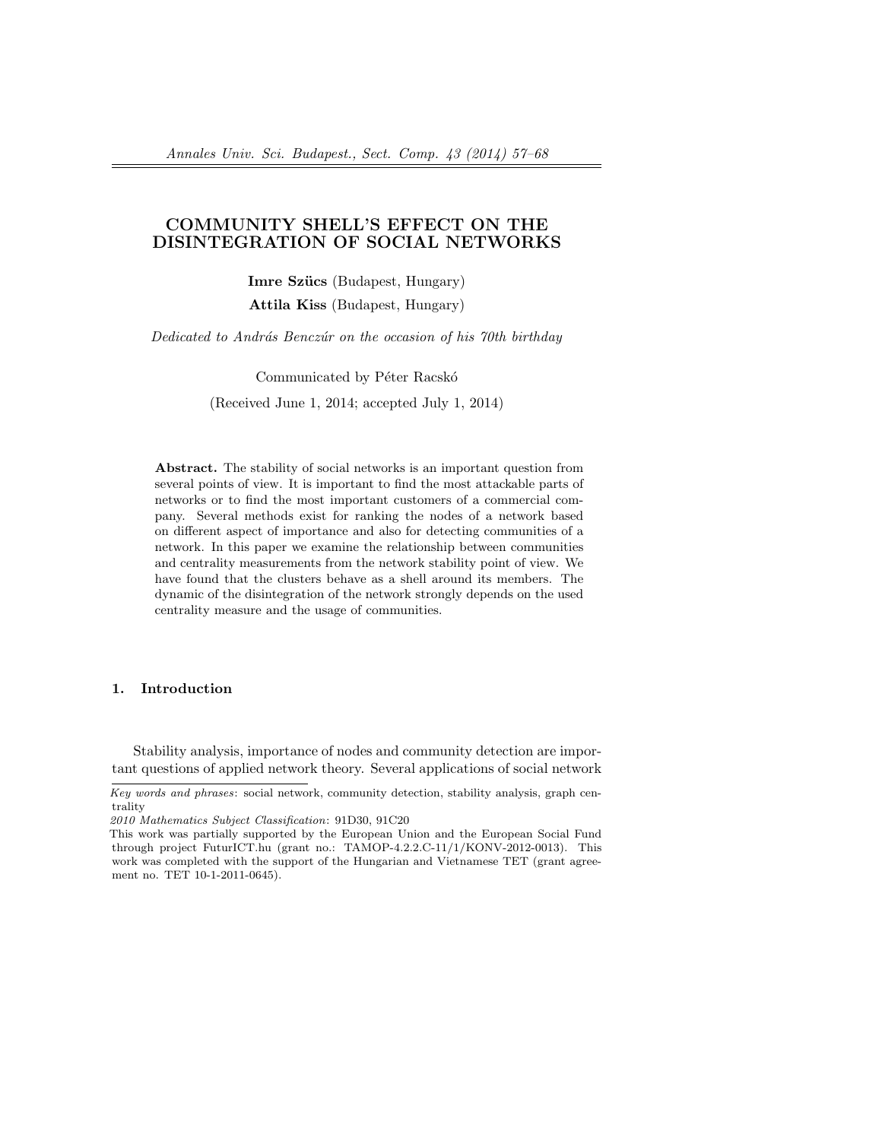# COMMUNITY SHELL'S EFFECT ON THE DISINTEGRATION OF SOCIAL NETWORKS

Imre Szücs (Budapest, Hungary)

Attila Kiss (Budapest, Hungary)

Dedicated to András Benczúr on the occasion of his 70th birthday

Communicated by Péter Racskó

(Received June 1, 2014; accepted July 1, 2014)

Abstract. The stability of social networks is an important question from several points of view. It is important to find the most attackable parts of networks or to find the most important customers of a commercial company. Several methods exist for ranking the nodes of a network based on different aspect of importance and also for detecting communities of a network. In this paper we examine the relationship between communities and centrality measurements from the network stability point of view. We have found that the clusters behave as a shell around its members. The dynamic of the disintegration of the network strongly depends on the used centrality measure and the usage of communities.

### 1. Introduction

Stability analysis, importance of nodes and community detection are important questions of applied network theory. Several applications of social network

Key words and phrases: social network, community detection, stability analysis, graph centrality

<sup>2010</sup> Mathematics Subject Classification: 91D30, 91C20

This work was partially supported by the European Union and the European Social Fund through project FuturICT.hu (grant no.: TAMOP-4.2.2.C-11/1/KONV-2012-0013). This work was completed with the support of the Hungarian and Vietnamese TET (grant agreement no. TET 10-1-2011-0645).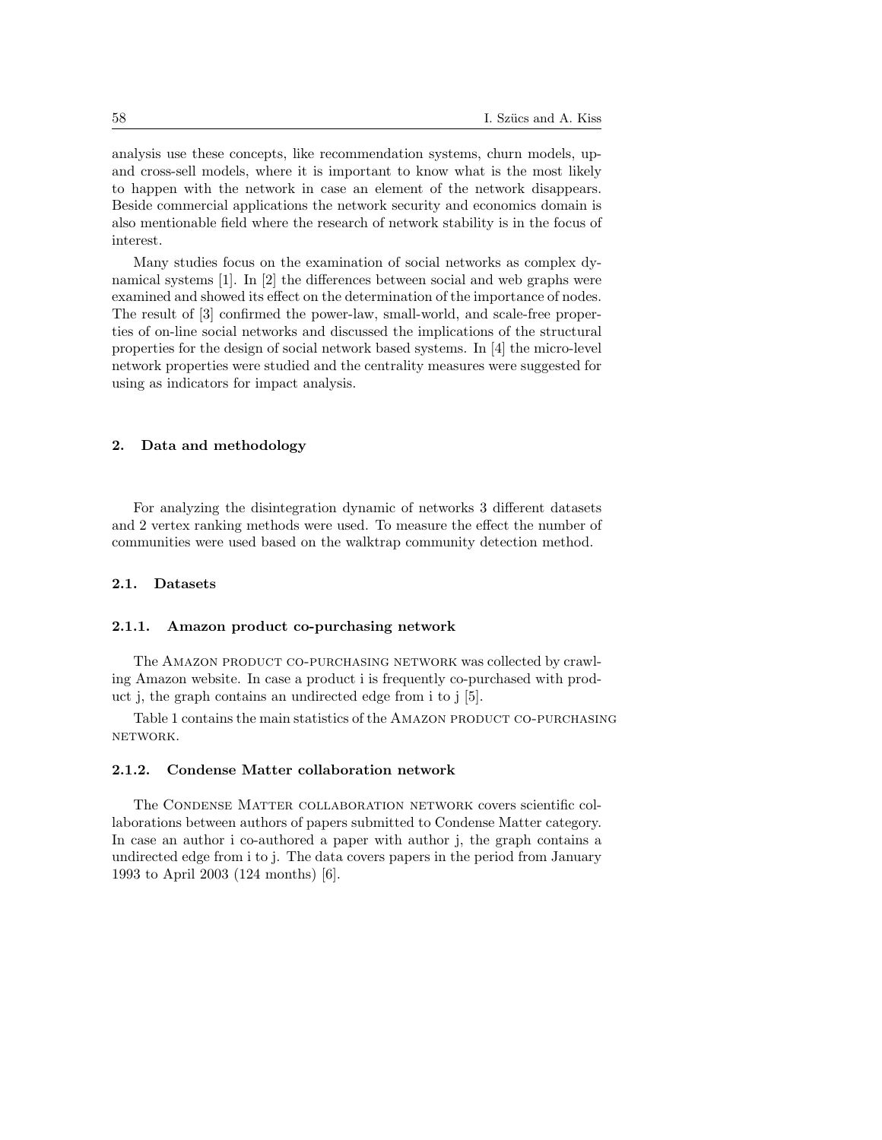analysis use these concepts, like recommendation systems, churn models, upand cross-sell models, where it is important to know what is the most likely to happen with the network in case an element of the network disappears. Beside commercial applications the network security and economics domain is also mentionable field where the research of network stability is in the focus of interest.

Many studies focus on the examination of social networks as complex dynamical systems [1]. In [2] the differences between social and web graphs were examined and showed its effect on the determination of the importance of nodes. The result of [3] confirmed the power-law, small-world, and scale-free properties of on-line social networks and discussed the implications of the structural properties for the design of social network based systems. In [4] the micro-level network properties were studied and the centrality measures were suggested for using as indicators for impact analysis.

### 2. Data and methodology

For analyzing the disintegration dynamic of networks 3 different datasets and 2 vertex ranking methods were used. To measure the effect the number of communities were used based on the walktrap community detection method.

#### 2.1. Datasets

#### 2.1.1. Amazon product co-purchasing network

The Amazon product co-purchasing network was collected by crawling Amazon website. In case a product i is frequently co-purchased with product j, the graph contains an undirected edge from i to j [5].

Table 1 contains the main statistics of the AMAZON PRODUCT CO-PURCHASING network.

#### 2.1.2. Condense Matter collaboration network

The Condense Matter collaboration network covers scientific collaborations between authors of papers submitted to Condense Matter category. In case an author i co-authored a paper with author j, the graph contains a undirected edge from i to j. The data covers papers in the period from January 1993 to April 2003 (124 months) [6].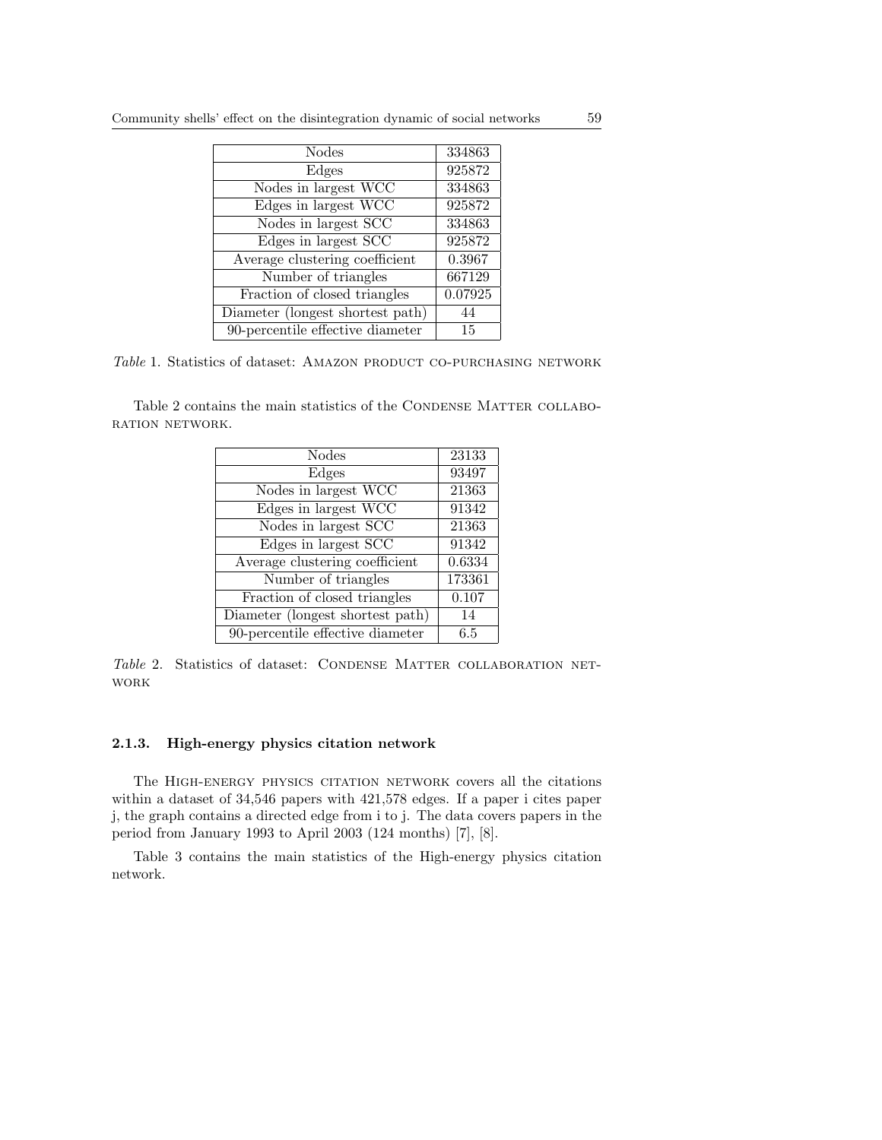| <b>Nodes</b>                     | 334863  |
|----------------------------------|---------|
| Edges                            | 925872  |
| Nodes in largest WCC             | 334863  |
| Edges in largest WCC             | 925872  |
| Nodes in largest SCC             | 334863  |
| Edges in largest SCC             | 925872  |
| Average clustering coefficient   | 0.3967  |
| Number of triangles              | 667129  |
| Fraction of closed triangles     | 0.07925 |
| Diameter (longest shortest path) | 44      |
| 90-percentile effective diameter | 15      |

Table 1. Statistics of dataset: AMAZON PRODUCT CO-PURCHASING NETWORK

Table 2 contains the main statistics of the CONDENSE MATTER COLLABO-RATION NETWORK.

| <b>Nodes</b>                     | 23133  |
|----------------------------------|--------|
| Edges                            | 93497  |
| Nodes in largest WCC             | 21363  |
| Edges in largest WCC             | 91342  |
| Nodes in largest SCC             | 21363  |
| Edges in largest SCC             | 91342  |
| Average clustering coefficient   | 0.6334 |
| Number of triangles              | 173361 |
| Fraction of closed triangles     | 0.107  |
| Diameter (longest shortest path) | 14     |
| 90-percentile effective diameter | 6.5    |

Table 2. Statistics of dataset: CONDENSE MATTER COLLABORATION NETwork

## 2.1.3. High-energy physics citation network

The HIGH-ENERGY PHYSICS CITATION NETWORK covers all the citations within a dataset of 34,546 papers with 421,578 edges. If a paper i cites paper j, the graph contains a directed edge from i to j. The data covers papers in the period from January 1993 to April 2003 (124 months) [7], [8].

Table 3 contains the main statistics of the High-energy physics citation network.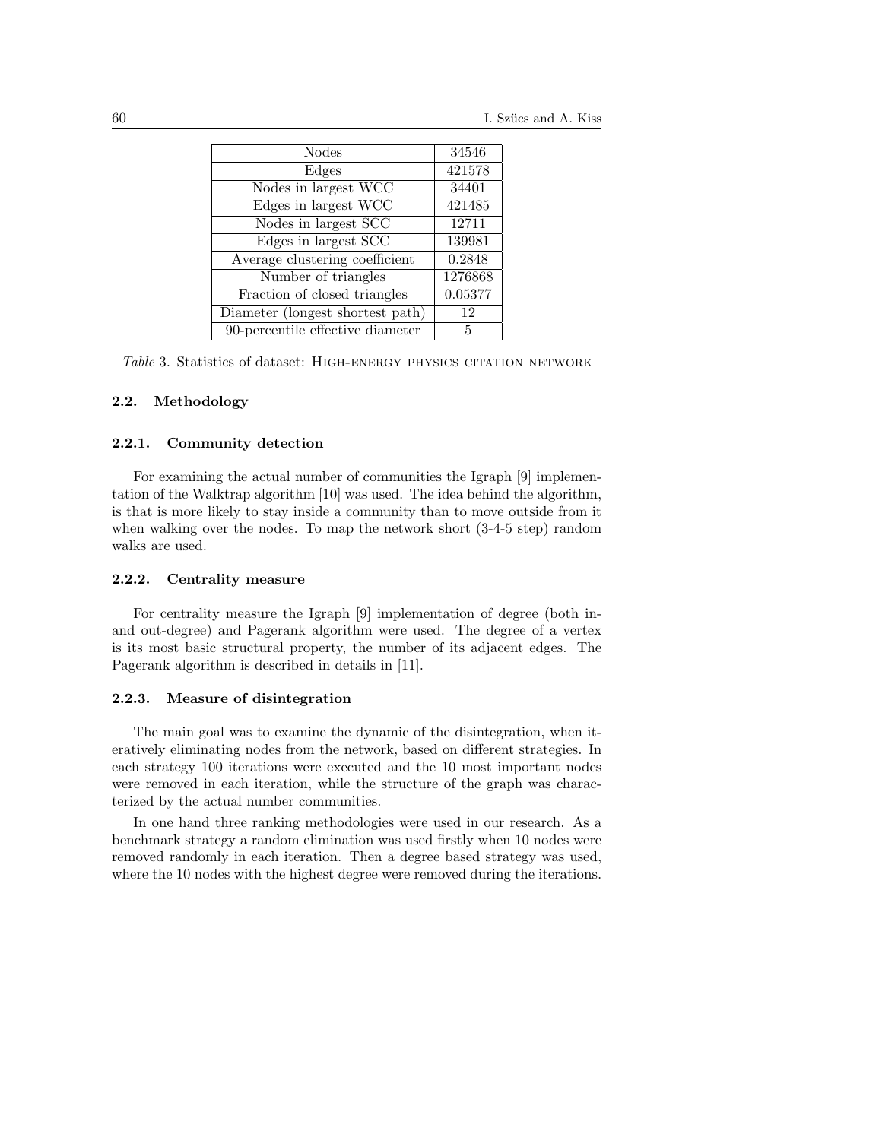| <b>Nodes</b>                             | 34546   |
|------------------------------------------|---------|
| Edges                                    | 421578  |
| Nodes in largest $\overline{\text{WCC}}$ | 34401   |
| Edges in largest $\overline{WCC}$        | 421485  |
| Nodes in largest SCC                     | 12711   |
| Edges in largest SCC                     | 139981  |
| Average clustering coefficient           | 0.2848  |
| Number of triangles                      | 1276868 |
| Fraction of closed triangles             | 0.05377 |
| Diameter (longest shortest path)         | 12      |
| 90-percentile effective diameter         | 5       |

Table 3. Statistics of dataset: High-energy physics citation network

### 2.2. Methodology

### 2.2.1. Community detection

For examining the actual number of communities the Igraph [9] implementation of the Walktrap algorithm [10] was used. The idea behind the algorithm, is that is more likely to stay inside a community than to move outside from it when walking over the nodes. To map the network short  $(3-4-5 \text{ step})$  random walks are used.

#### 2.2.2. Centrality measure

For centrality measure the Igraph [9] implementation of degree (both inand out-degree) and Pagerank algorithm were used. The degree of a vertex is its most basic structural property, the number of its adjacent edges. The Pagerank algorithm is described in details in [11].

#### 2.2.3. Measure of disintegration

The main goal was to examine the dynamic of the disintegration, when iteratively eliminating nodes from the network, based on different strategies. In each strategy 100 iterations were executed and the 10 most important nodes were removed in each iteration, while the structure of the graph was characterized by the actual number communities.

In one hand three ranking methodologies were used in our research. As a benchmark strategy a random elimination was used firstly when 10 nodes were removed randomly in each iteration. Then a degree based strategy was used, where the 10 nodes with the highest degree were removed during the iterations.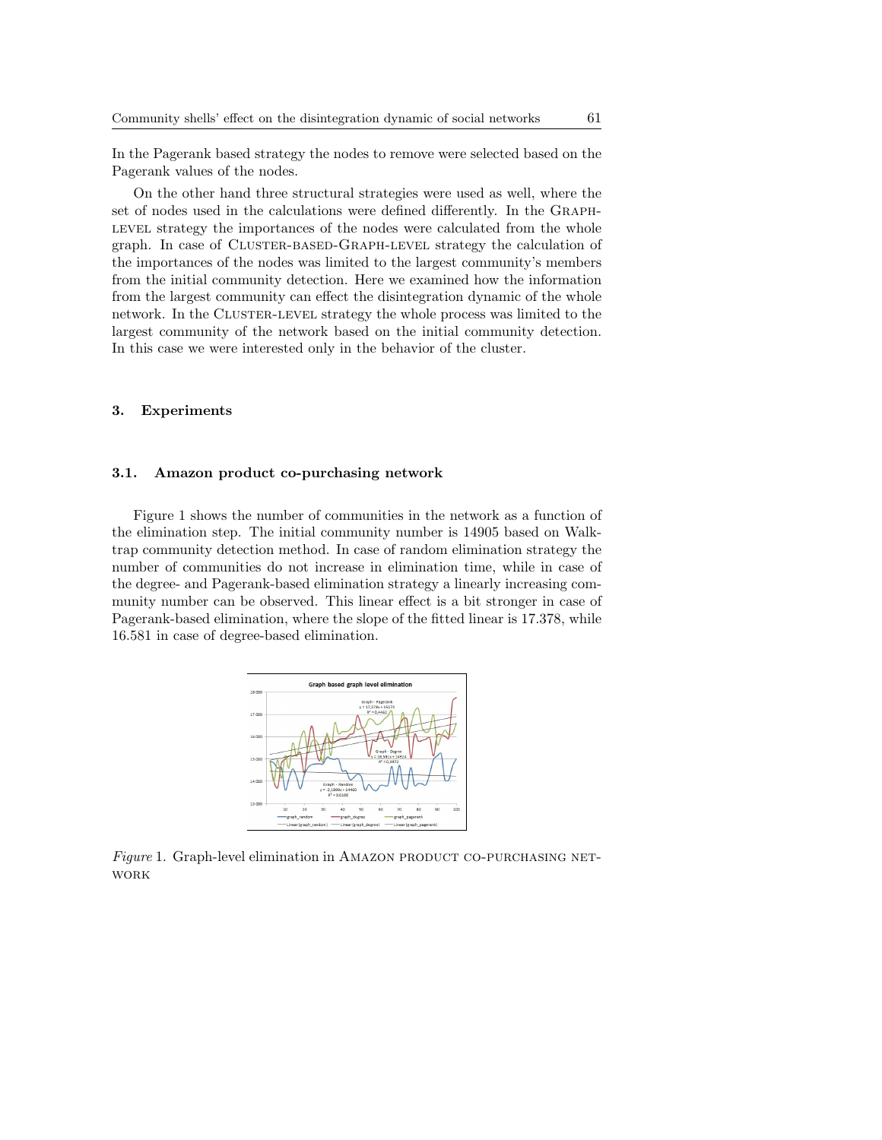In the Pagerank based strategy the nodes to remove were selected based on the Pagerank values of the nodes.

On the other hand three structural strategies were used as well, where the set of nodes used in the calculations were defined differently. In the Graph-LEVEL strategy the importances of the nodes were calculated from the whole graph. In case of CLUSTER-BASED-GRAPH-LEVEL strategy the calculation of the importances of the nodes was limited to the largest community's members from the initial community detection. Here we examined how the information from the largest community can effect the disintegration dynamic of the whole network. In the CLUSTER-LEVEL strategy the whole process was limited to the largest community of the network based on the initial community detection. In this case we were interested only in the behavior of the cluster.

#### 3. Experiments

#### 3.1. Amazon product co-purchasing network

Figure 1 shows the number of communities in the network as a function of the elimination step. The initial community number is 14905 based on Walktrap community detection method. In case of random elimination strategy the number of communities do not increase in elimination time, while in case of the degree- and Pagerank-based elimination strategy a linearly increasing community number can be observed. This linear effect is a bit stronger in case of Pagerank-based elimination, where the slope of the fitted linear is 17.378, while 16.581 in case of degree-based elimination.



Figure 1. Graph-level elimination in AMAZON PRODUCT CO-PURCHASING NETwork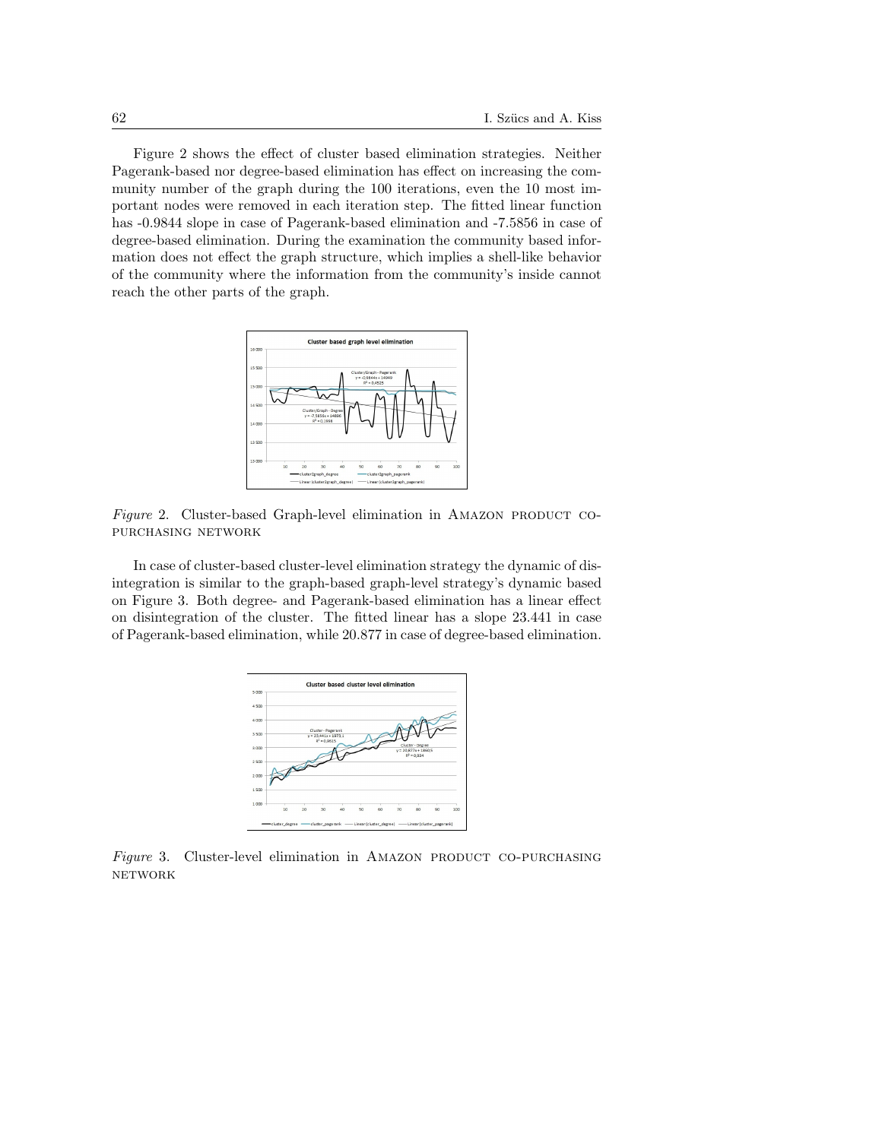Figure 2 shows the effect of cluster based elimination strategies. Neither Pagerank-based nor degree-based elimination has effect on increasing the community number of the graph during the 100 iterations, even the 10 most important nodes were removed in each iteration step. The fitted linear function has -0.9844 slope in case of Pagerank-based elimination and -7.5856 in case of degree-based elimination. During the examination the community based information does not effect the graph structure, which implies a shell-like behavior of the community where the information from the community's inside cannot reach the other parts of the graph.



Figure 2. Cluster-based Graph-level elimination in AMAZON PRODUCT COpurchasing network

In case of cluster-based cluster-level elimination strategy the dynamic of disintegration is similar to the graph-based graph-level strategy's dynamic based on Figure 3. Both degree- and Pagerank-based elimination has a linear effect on disintegration of the cluster. The fitted linear has a slope 23.441 in case of Pagerank-based elimination, while 20.877 in case of degree-based elimination.



Figure 3. Cluster-level elimination in AMAZON PRODUCT CO-PURCHASING network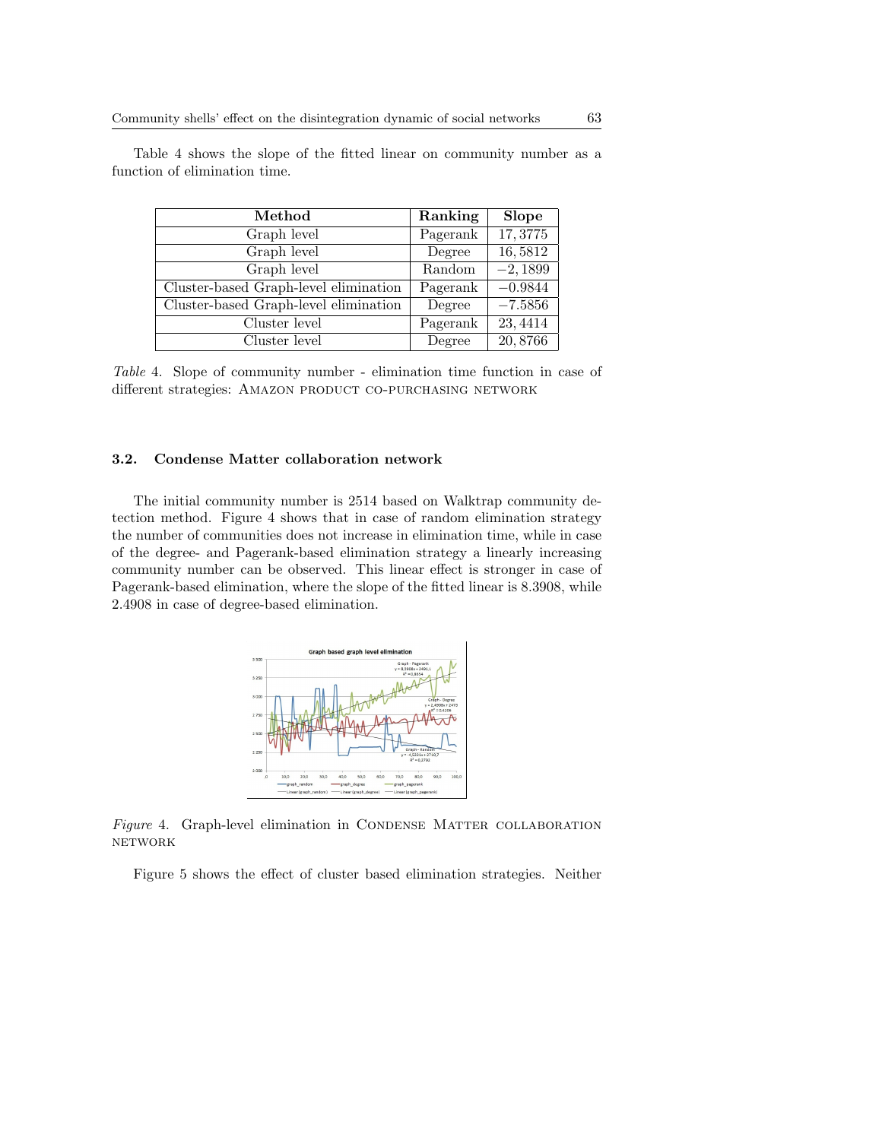| Method                                | Ranking  | <b>Slope</b>         |
|---------------------------------------|----------|----------------------|
| Graph level                           | Pagerank | 17,3775              |
| Graph level                           | Degree   | 16,5812              |
| Graph level                           | Random   | $-2,1899$            |
| Cluster-based Graph-level elimination | Pagerank | $-0.9844$            |
| Cluster-based Graph-level elimination | Degree   | $-7.5856$            |
| Cluster level                         | Pagerank | 23, 4414             |
| Cluster level                         | Degree   | $\overline{20,8766}$ |

Table 4 shows the slope of the fitted linear on community number as a function of elimination time.

Table 4. Slope of community number - elimination time function in case of different strategies: AMAZON PRODUCT CO-PURCHASING NETWORK

#### 3.2. Condense Matter collaboration network

The initial community number is 2514 based on Walktrap community detection method. Figure 4 shows that in case of random elimination strategy the number of communities does not increase in elimination time, while in case of the degree- and Pagerank-based elimination strategy a linearly increasing community number can be observed. This linear effect is stronger in case of Pagerank-based elimination, where the slope of the fitted linear is 8.3908, while 2.4908 in case of degree-based elimination.



Figure 4. Graph-level elimination in CONDENSE MATTER COLLABORATION network

Figure 5 shows the effect of cluster based elimination strategies. Neither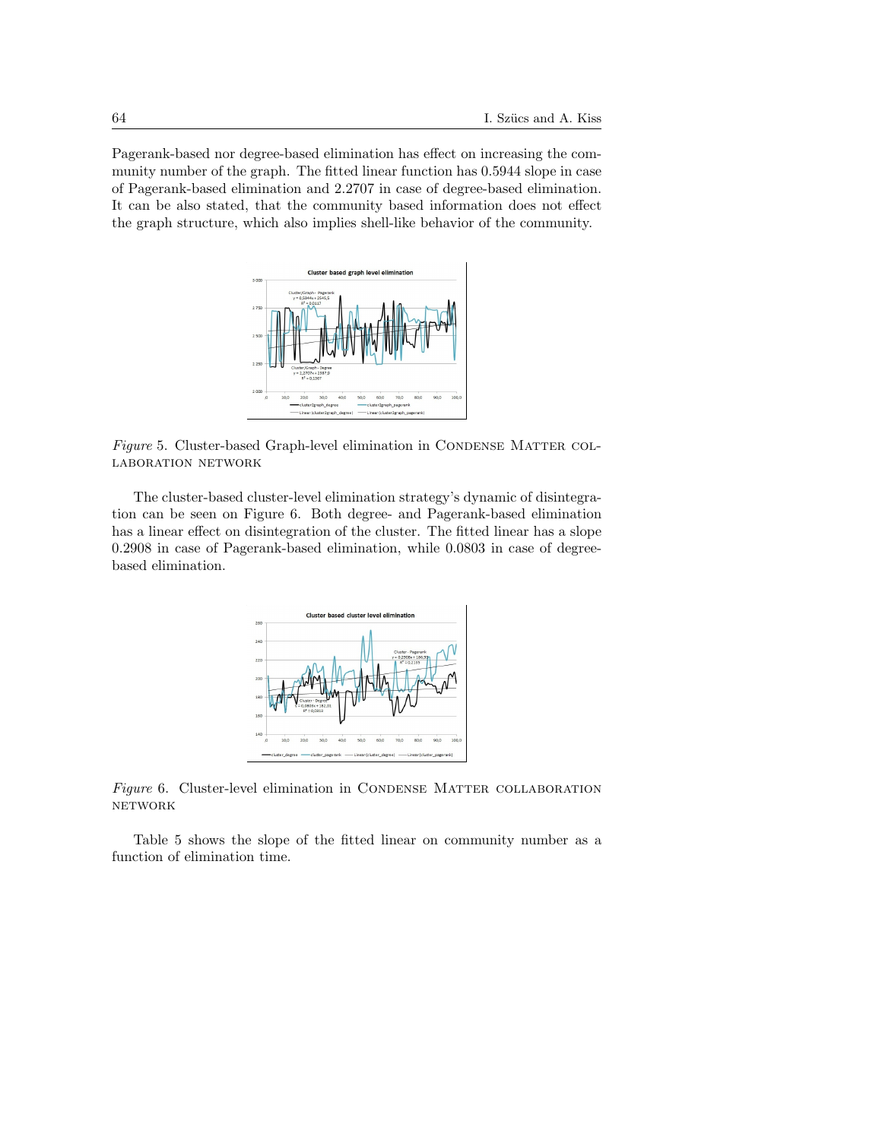Pagerank-based nor degree-based elimination has effect on increasing the community number of the graph. The fitted linear function has 0.5944 slope in case of Pagerank-based elimination and 2.2707 in case of degree-based elimination. It can be also stated, that the community based information does not effect the graph structure, which also implies shell-like behavior of the community.



Figure 5. Cluster-based Graph-level elimination in CONDENSE MATTER COLlaboration network

The cluster-based cluster-level elimination strategy's dynamic of disintegration can be seen on Figure 6. Both degree- and Pagerank-based elimination has a linear effect on disintegration of the cluster. The fitted linear has a slope 0.2908 in case of Pagerank-based elimination, while 0.0803 in case of degreebased elimination.



Figure 6. Cluster-level elimination in CONDENSE MATTER COLLABORATION network

Table 5 shows the slope of the fitted linear on community number as a function of elimination time.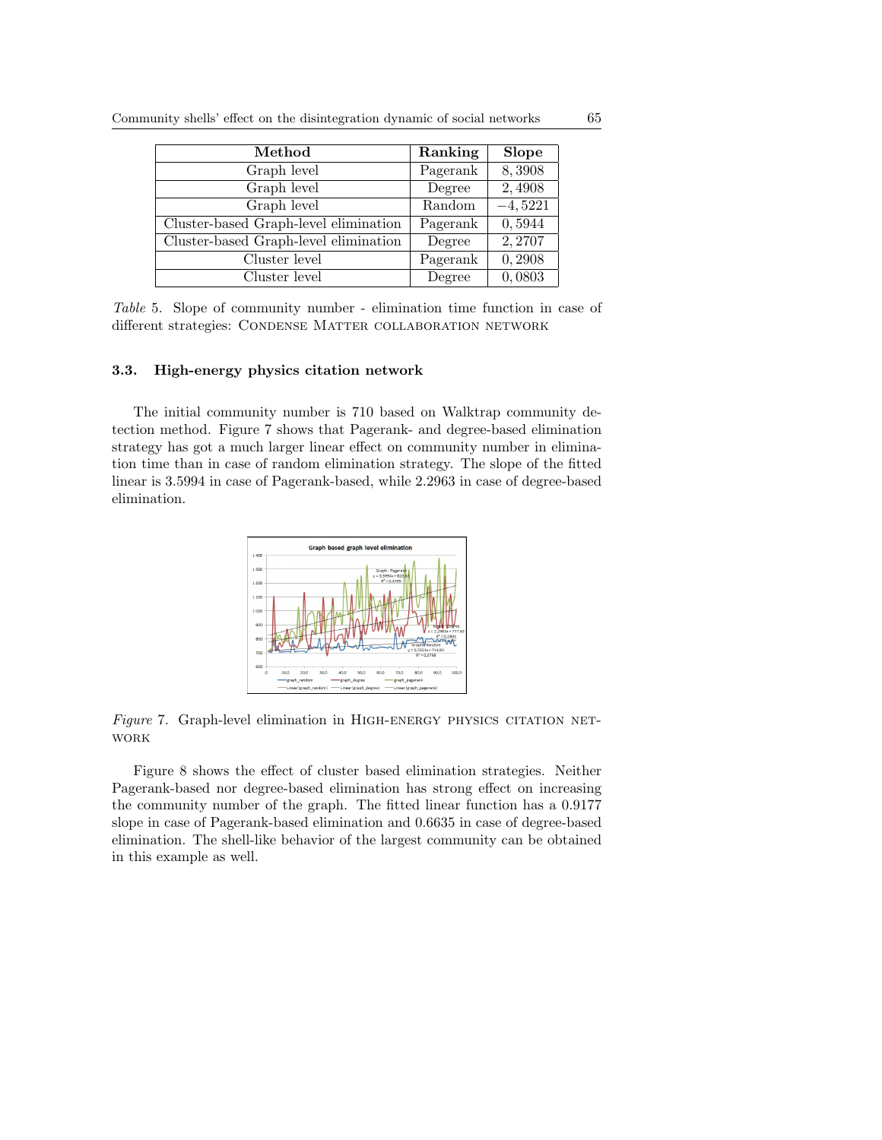| Method                                | Ranking  | <b>Slope</b> |
|---------------------------------------|----------|--------------|
| Graph level                           | Pagerank | 8,3908       |
| Graph level                           | Degree   | 2,4908       |
| Graph level                           | Random   | $-4,5221$    |
| Cluster-based Graph-level elimination | Pagerank | 0,5944       |
| Cluster-based Graph-level elimination | Degree   | 2,2707       |
| Cluster level                         | Pagerank | 0,2908       |
| Cluster level                         | Degree   | 0,0803       |

Community shells' effect on the disintegration dynamic of social networks 65

Table 5. Slope of community number - elimination time function in case of different strategies: CONDENSE MATTER COLLABORATION NETWORK

#### 3.3. High-energy physics citation network

The initial community number is 710 based on Walktrap community detection method. Figure 7 shows that Pagerank- and degree-based elimination strategy has got a much larger linear effect on community number in elimination time than in case of random elimination strategy. The slope of the fitted linear is 3.5994 in case of Pagerank-based, while 2.2963 in case of degree-based elimination.



Figure 7. Graph-level elimination in HIGH-ENERGY PHYSICS CITATION NETwork

Figure 8 shows the effect of cluster based elimination strategies. Neither Pagerank-based nor degree-based elimination has strong effect on increasing the community number of the graph. The fitted linear function has a 0.9177 slope in case of Pagerank-based elimination and 0.6635 in case of degree-based elimination. The shell-like behavior of the largest community can be obtained in this example as well.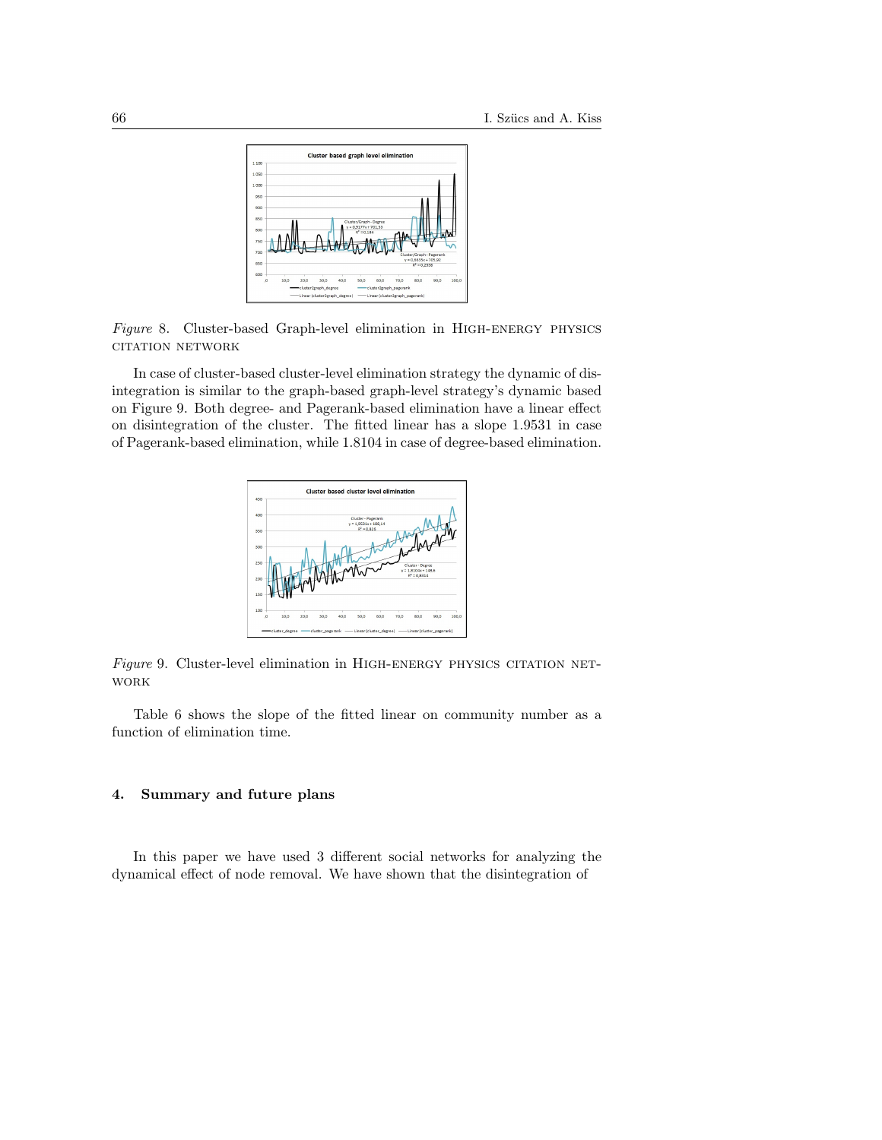

Figure 8. Cluster-based Graph-level elimination in High-energy physics citation network

In case of cluster-based cluster-level elimination strategy the dynamic of disintegration is similar to the graph-based graph-level strategy's dynamic based on Figure 9. Both degree- and Pagerank-based elimination have a linear effect on disintegration of the cluster. The fitted linear has a slope 1.9531 in case of Pagerank-based elimination, while 1.8104 in case of degree-based elimination.



Figure 9. Cluster-level elimination in HIGH-ENERGY PHYSICS CITATION NETwork

Table 6 shows the slope of the fitted linear on community number as a function of elimination time.

### 4. Summary and future plans

In this paper we have used 3 different social networks for analyzing the dynamical effect of node removal. We have shown that the disintegration of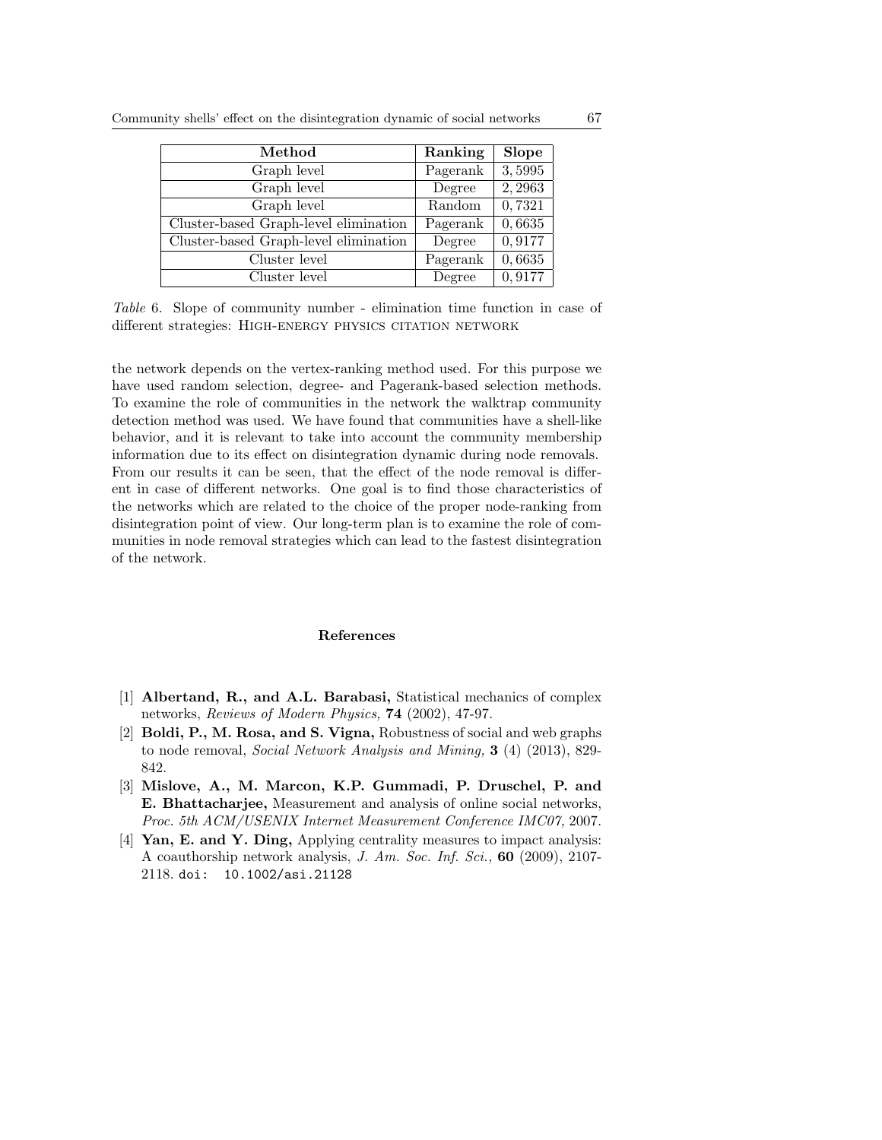| Method                                | Ranking  | Slope  |
|---------------------------------------|----------|--------|
| Graph level                           | Pagerank | 3,5995 |
| Graph level                           | Degree   | 2,2963 |
| Graph level                           | Random   | 0,7321 |
| Cluster-based Graph-level elimination | Pagerank | 0,6635 |
| Cluster-based Graph-level elimination | Degree   | 0,9177 |
| Cluster level                         | Pagerank | 0,6635 |
| Cluster level                         | Degree   | 0,9177 |

Table 6. Slope of community number - elimination time function in case of different strategies: HIGH-ENERGY PHYSICS CITATION NETWORK

the network depends on the vertex-ranking method used. For this purpose we have used random selection, degree- and Pagerank-based selection methods. To examine the role of communities in the network the walktrap community detection method was used. We have found that communities have a shell-like behavior, and it is relevant to take into account the community membership information due to its effect on disintegration dynamic during node removals. From our results it can be seen, that the effect of the node removal is different in case of different networks. One goal is to find those characteristics of the networks which are related to the choice of the proper node-ranking from disintegration point of view. Our long-term plan is to examine the role of communities in node removal strategies which can lead to the fastest disintegration of the network.

#### References

- [1] Albertand, R., and A.L. Barabasi, Statistical mechanics of complex networks, Reviews of Modern Physics, 74 (2002), 47-97.
- [2] Boldi, P., M. Rosa, and S. Vigna, Robustness of social and web graphs to node removal, Social Network Analysis and Mining, 3 (4) (2013), 829- 842.
- [3] Mislove, A., M. Marcon, K.P. Gummadi, P. Druschel, P. and E. Bhattacharjee, Measurement and analysis of online social networks, Proc. 5th ACM/USENIX Internet Measurement Conference IMC07, 2007.
- [4] **Yan, E. and Y. Ding,** Applying centrality measures to impact analysis: A coauthorship network analysis, J. Am. Soc. Inf. Sci., 60 (2009), 2107- 2118. doi: 10.1002/asi.21128